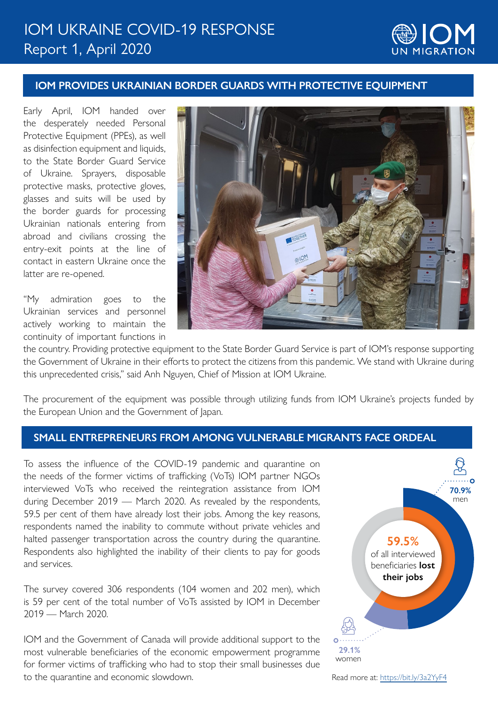# Report 1, April 2020 IOM UKRAINE COVID-19 RESPONSE



## **IOM PROVIDES UKRAINIAN BORDER GUARDS WITH PROTECTIVE EQUIPMENT**

Early April, IOM handed over the desperately needed Personal Protective Equipment (PPEs), as well as disinfection equipment and liquids, to the State Border Guard Service of Ukraine. Sprayers, disposable protective masks, protective gloves, glasses and suits will be used by the border guards for processing Ukrainian nationals entering from abroad and civilians crossing the entry-exit points at the line of contact in eastern Ukraine once the latter are re-opened.

"My admiration goes to the Ukrainian services and personnel actively working to maintain the continuity of important functions in



the country. Providing protective equipment to the State Border Guard Service is part of IOM's response supporting the Government of Ukraine in their efforts to protect the citizens from this pandemic. We stand with Ukraine during this unprecedented crisis," said Anh Nguyen, Chief of Mission at IOM Ukraine.

The procurement of the equipment was possible through utilizing funds from IOM Ukraine's projects funded by the European Union and the Government of Japan.

#### **SMALL ENTREPRENEURS FROM AMONG VULNERABLE MIGRANTS FACE ORDEAL**

To assess the influence of the COVID-19 pandemic and quarantine on the needs of the former victims of trafficking (VoTs) IOM partner NGOs interviewed VoTs who received the reintegration assistance from IOM during December 2019 — March 2020. As revealed by the respondents, 59.5 per cent of them have already lost their jobs. Among the key reasons, respondents named the inability to commute without private vehicles and halted passenger transportation across the country during the quarantine. Respondents also highlighted the inability of their clients to pay for goods and services.

The survey covered 306 respondents (104 women and 202 men), which is 59 per cent of the total number of VoTs assisted by IOM in December 2019 — March 2020.

IOM and the Government of Canada will provide additional support to the most vulnerable beneficiaries of the economic empowerment programme for former victims of trafficking who had to stop their small businesses due to the quarantine and economic slowdown.



Read more at: <https://bit.ly/3a2YyF4>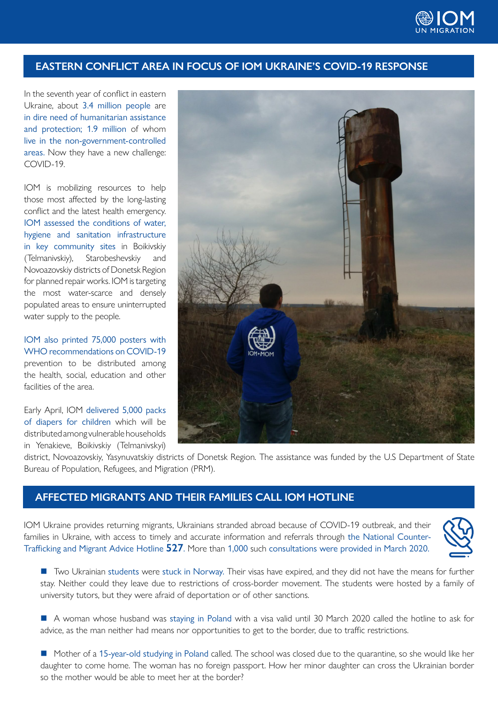

## **EASTERN CONFLICT AREA IN FOCUS OF IOM UKRAINE'S COVID-19 RESPONSE**

In the seventh year of conflict in eastern Ukraine, about 3.4 million people are in dire need of humanitarian assistance and protection; 1.9 million of whom live in the non-government-controlled areas. Now they have a new challenge: COVID-19.

IOM is mobilizing resources to help those most affected by the long-lasting conflict and the latest health emergency. IOM assessed the conditions of water, hygiene and sanitation infrastructure in key community sites in Boikivskiy (Telmanivskiy), Starobeshevskiy and Novoazovskiy districts of Donetsk Region for planned repair works. IOM is targeting the most water-scarce and densely populated areas to ensure uninterrupted water supply to the people.

IOM also printed 75,000 posters with WHO recommendations on COVID-19 prevention to be distributed among the health, social, education and other facilities of the area.

Early April, IOM delivered 5,000 packs of diapers for children which will be distributed among vulnerable households in Yenakieve, Boikivskiy (Telmanivskyi)



district, Novoazovskiy, Yasynuvatskiy districts of Donetsk Region. The assistance was funded by the U.S Department of State Bureau of Population, Refugees, and Migration (PRM).

## **AFFECTED MIGRANTS AND THEIR FAMILIES CALL IOM HOTLINE**

IOM Ukraine provides returning migrants, Ukrainians stranded abroad because of COVID-19 outbreak, and their families in Ukraine, with access to timely and accurate information and referrals through the National Counter-Trafficking and Migrant Advice Hotline **527**. More than 1,000 such consultations were provided in March 2020.



■ Two Ukrainian students were stuck in Norway. Their visas have expired, and they did not have the means for further stay. Neither could they leave due to restrictions of cross-border movement. The students were hosted by a family of university tutors, but they were afraid of deportation or of other sanctions.

 A woman whose husband was staying in Poland with a visa valid until 30 March 2020 called the hotline to ask for advice, as the man neither had means nor opportunities to get to the border, due to traffic restrictions.

Mother of a 15-year-old studying in Poland called. The school was closed due to the quarantine, so she would like her daughter to come home. The woman has no foreign passport. How her minor daughter can cross the Ukrainian border so the mother would be able to meet her at the border?